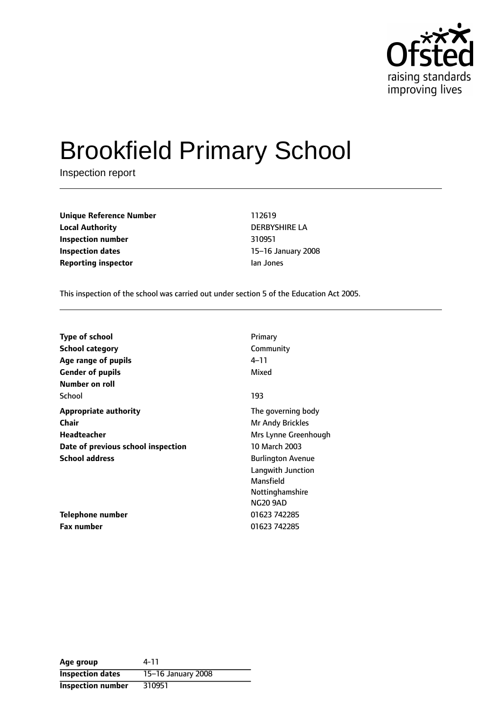

# Brookfield Primary School

Inspection report

**Unique Reference Number** 112619 **Local Authority** DERBYSHIRE LA **Inspection number** 310951 **Inspection dates** 15-16 January 2008 **Reporting inspector instance in the Ian Jones** 

This inspection of the school was carried out under section 5 of the Education Act 2005.

| <b>Type of school</b>              | Primary                  |
|------------------------------------|--------------------------|
| School category                    | Community                |
| Age range of pupils                | 4–11                     |
| <b>Gender of pupils</b>            | Mixed                    |
| Number on roll                     |                          |
| School                             | 193                      |
| <b>Appropriate authority</b>       | The governing body       |
| Chair                              | Mr Andy Brickles         |
| Headteacher                        | Mrs Lynne Greenhough     |
| Date of previous school inspection | 10 March 2003            |
| <b>School address</b>              | <b>Burlington Avenue</b> |
|                                    | Langwith Junction        |
|                                    | Mansfield                |
|                                    | Nottinghamshire          |
|                                    | <b>NG20 9AD</b>          |
| Telephone number                   | 01623 742285             |
| <b>Fax number</b>                  | 01623 742285             |

| Age group                | 4-11               |
|--------------------------|--------------------|
| <b>Inspection dates</b>  | 15-16 January 2008 |
| <b>Inspection number</b> | 310951             |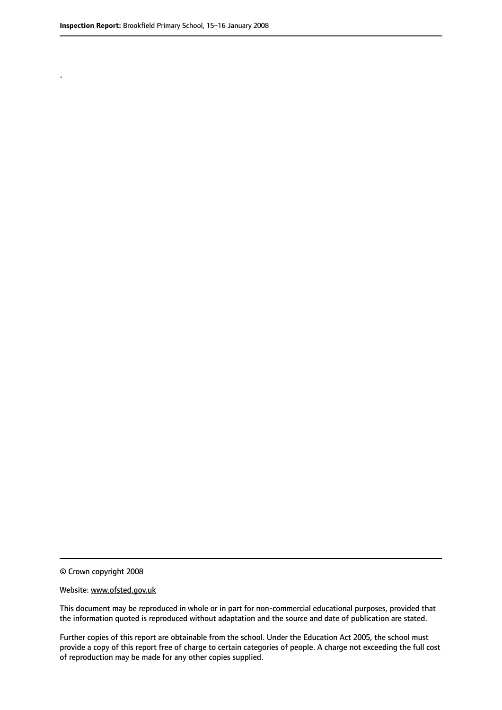.

© Crown copyright 2008

#### Website: www.ofsted.gov.uk

This document may be reproduced in whole or in part for non-commercial educational purposes, provided that the information quoted is reproduced without adaptation and the source and date of publication are stated.

Further copies of this report are obtainable from the school. Under the Education Act 2005, the school must provide a copy of this report free of charge to certain categories of people. A charge not exceeding the full cost of reproduction may be made for any other copies supplied.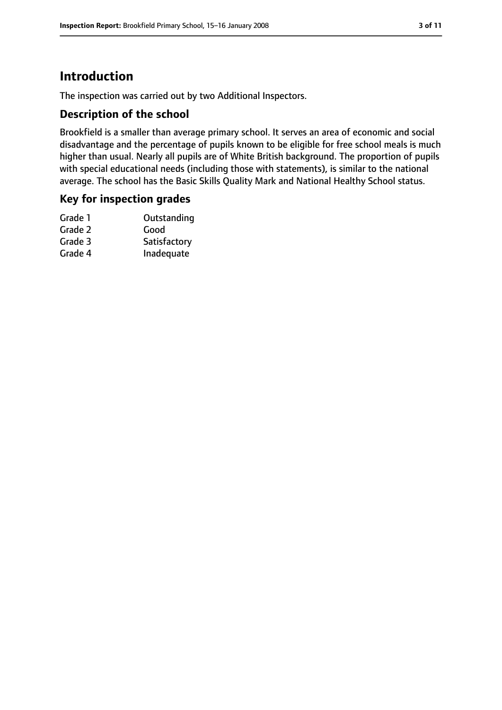# **Introduction**

The inspection was carried out by two Additional Inspectors.

## **Description of the school**

Brookfield is a smaller than average primary school. It serves an area of economic and social disadvantage and the percentage of pupils known to be eligible for free school meals is much higher than usual. Nearly all pupils are of White British background. The proportion of pupils with special educational needs (including those with statements), is similar to the national average. The school has the Basic Skills Quality Mark and National Healthy School status.

### **Key for inspection grades**

| Grade 1 | Outstanding  |
|---------|--------------|
| Grade 2 | Good         |
| Grade 3 | Satisfactory |
| Grade 4 | Inadequate   |
|         |              |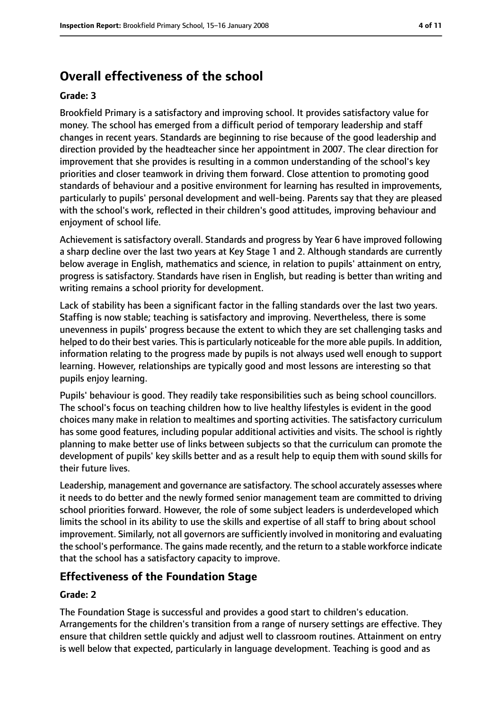# **Overall effectiveness of the school**

#### **Grade: 3**

Brookfield Primary is a satisfactory and improving school. It provides satisfactory value for money. The school has emerged from a difficult period of temporary leadership and staff changes in recent years. Standards are beginning to rise because of the good leadership and direction provided by the headteacher since her appointment in 2007. The clear direction for improvement that she provides is resulting in a common understanding of the school's key priorities and closer teamwork in driving them forward. Close attention to promoting good standards of behaviour and a positive environment for learning has resulted in improvements, particularly to pupils' personal development and well-being. Parents say that they are pleased with the school's work, reflected in their children's good attitudes, improving behaviour and enjoyment of school life.

Achievement is satisfactory overall. Standards and progress by Year 6 have improved following a sharp decline over the last two years at Key Stage 1 and 2. Although standards are currently below average in English, mathematics and science, in relation to pupils' attainment on entry, progress is satisfactory. Standards have risen in English, but reading is better than writing and writing remains a school priority for development.

Lack of stability has been a significant factor in the falling standards over the last two years. Staffing is now stable; teaching is satisfactory and improving. Nevertheless, there is some unevenness in pupils' progress because the extent to which they are set challenging tasks and helped to do their best varies. This is particularly noticeable for the more able pupils. In addition, information relating to the progress made by pupils is not always used well enough to support learning. However, relationships are typically good and most lessons are interesting so that pupils enjoy learning.

Pupils' behaviour is good. They readily take responsibilities such as being school councillors. The school's focus on teaching children how to live healthy lifestyles is evident in the good choices many make in relation to mealtimes and sporting activities. The satisfactory curriculum has some good features, including popular additional activities and visits. The school is rightly planning to make better use of links between subjects so that the curriculum can promote the development of pupils' key skills better and as a result help to equip them with sound skills for their future lives.

Leadership, management and governance are satisfactory. The school accurately assesses where it needs to do better and the newly formed senior management team are committed to driving school priorities forward. However, the role of some subject leaders is underdeveloped which limits the school in its ability to use the skills and expertise of all staff to bring about school improvement. Similarly, not all governors are sufficiently involved in monitoring and evaluating the school's performance. The gains made recently, and the return to a stable workforce indicate that the school has a satisfactory capacity to improve.

# **Effectiveness of the Foundation Stage**

#### **Grade: 2**

The Foundation Stage is successful and provides a good start to children's education. Arrangements for the children's transition from a range of nursery settings are effective. They ensure that children settle quickly and adjust well to classroom routines. Attainment on entry is well below that expected, particularly in language development. Teaching is good and as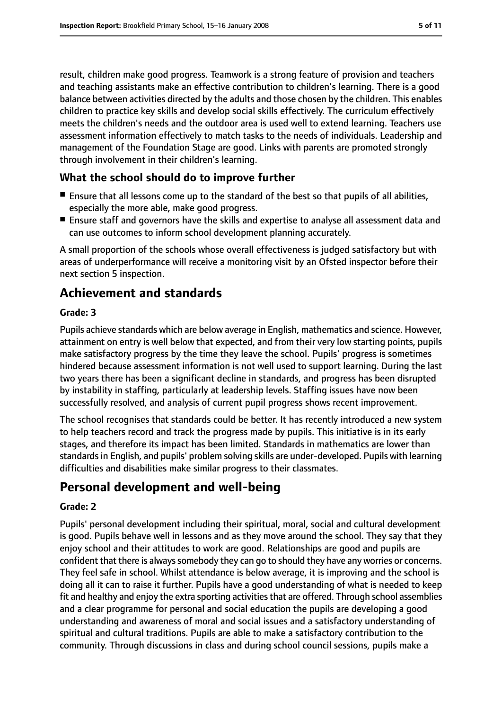result, children make good progress. Teamwork is a strong feature of provision and teachers and teaching assistants make an effective contribution to children's learning. There is a good balance between activities directed by the adults and those chosen by the children. This enables children to practice key skills and develop social skills effectively. The curriculum effectively meets the children's needs and the outdoor area is used well to extend learning. Teachers use assessment information effectively to match tasks to the needs of individuals. Leadership and management of the Foundation Stage are good. Links with parents are promoted strongly through involvement in their children's learning.

## **What the school should do to improve further**

- Ensure that all lessons come up to the standard of the best so that pupils of all abilities, especially the more able, make good progress.
- Ensure staff and governors have the skills and expertise to analyse all assessment data and can use outcomes to inform school development planning accurately.

A small proportion of the schools whose overall effectiveness is judged satisfactory but with areas of underperformance will receive a monitoring visit by an Ofsted inspector before their next section 5 inspection.

# **Achievement and standards**

#### **Grade: 3**

Pupils achieve standards which are below average in English, mathematics and science. However, attainment on entry is well below that expected, and from their very low starting points, pupils make satisfactory progress by the time they leave the school. Pupils' progress is sometimes hindered because assessment information is not well used to support learning. During the last two years there has been a significant decline in standards, and progress has been disrupted by instability in staffing, particularly at leadership levels. Staffing issues have now been successfully resolved, and analysis of current pupil progress shows recent improvement.

The school recognises that standards could be better. It has recently introduced a new system to help teachers record and track the progress made by pupils. This initiative is in its early stages, and therefore its impact has been limited. Standards in mathematics are lower than standards in English, and pupils' problem solving skills are under-developed. Pupils with learning difficulties and disabilities make similar progress to their classmates.

# **Personal development and well-being**

#### **Grade: 2**

Pupils' personal development including their spiritual, moral, social and cultural development is good. Pupils behave well in lessons and as they move around the school. They say that they enjoy school and their attitudes to work are good. Relationships are good and pupils are confident that there is always somebody they can go to should they have any worries or concerns. They feel safe in school. Whilst attendance is below average, it is improving and the school is doing all it can to raise it further. Pupils have a good understanding of what is needed to keep fit and healthy and enjoy the extra sporting activities that are offered. Through school assemblies and a clear programme for personal and social education the pupils are developing a good understanding and awareness of moral and social issues and a satisfactory understanding of spiritual and cultural traditions. Pupils are able to make a satisfactory contribution to the community. Through discussions in class and during school council sessions, pupils make a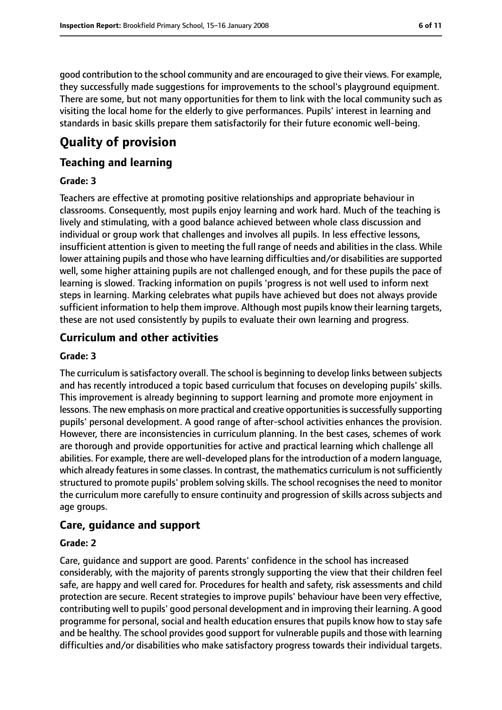good contribution to the school community and are encouraged to give their views. For example, they successfully made suggestions for improvements to the school's playground equipment. There are some, but not many opportunities for them to link with the local community such as visiting the local home for the elderly to give performances. Pupils' interest in learning and

standards in basic skills prepare them satisfactorily for their future economic well-being.

# **Quality of provision**

## **Teaching and learning**

### **Grade: 3**

Teachers are effective at promoting positive relationships and appropriate behaviour in classrooms. Consequently, most pupils enjoy learning and work hard. Much of the teaching is lively and stimulating, with a good balance achieved between whole class discussion and individual or group work that challenges and involves all pupils. In less effective lessons, insufficient attention is given to meeting the full range of needs and abilities in the class. While lower attaining pupils and those who have learning difficulties and/or disabilities are supported well, some higher attaining pupils are not challenged enough, and for these pupils the pace of learning is slowed. Tracking information on pupils 'progress is not well used to inform next steps in learning. Marking celebrates what pupils have achieved but does not always provide sufficient information to help them improve. Although most pupils know their learning targets, these are not used consistently by pupils to evaluate their own learning and progress.

## **Curriculum and other activities**

#### **Grade: 3**

The curriculum is satisfactory overall. The school is beginning to develop links between subjects and has recently introduced a topic based curriculum that focuses on developing pupils' skills. This improvement is already beginning to support learning and promote more enjoyment in lessons. The new emphasis on more practical and creative opportunities is successfully supporting pupils' personal development. A good range of after-school activities enhances the provision. However, there are inconsistencies in curriculum planning. In the best cases, schemes of work are thorough and provide opportunities for active and practical learning which challenge all abilities. For example, there are well-developed plansfor the introduction of a modern language, which already features in some classes. In contrast, the mathematics curriculum is not sufficiently structured to promote pupils' problem solving skills. The school recognises the need to monitor the curriculum more carefully to ensure continuity and progression of skills across subjects and age groups.

## **Care, guidance and support**

#### **Grade: 2**

Care, guidance and support are good. Parents' confidence in the school has increased considerably, with the majority of parents strongly supporting the view that their children feel safe, are happy and well cared for. Procedures for health and safety, risk assessments and child protection are secure. Recent strategies to improve pupils' behaviour have been very effective, contributing well to pupils' good personal development and in improving their learning. A good programme for personal, social and health education ensures that pupils know how to stay safe and be healthy. The school provides good support for vulnerable pupils and those with learning difficulties and/or disabilities who make satisfactory progress towards their individual targets.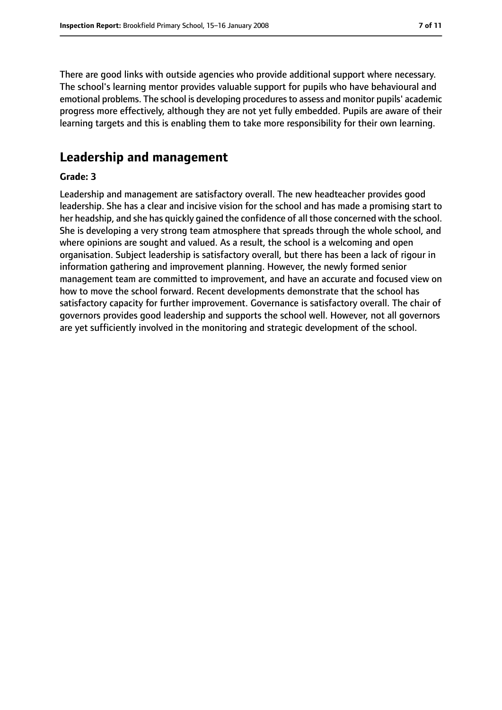There are good links with outside agencies who provide additional support where necessary. The school's learning mentor provides valuable support for pupils who have behavioural and emotional problems. The school is developing proceduresto assess and monitor pupils' academic progress more effectively, although they are not yet fully embedded. Pupils are aware of their learning targets and this is enabling them to take more responsibility for their own learning.

# **Leadership and management**

#### **Grade: 3**

Leadership and management are satisfactory overall. The new headteacher provides good leadership. She has a clear and incisive vision for the school and has made a promising start to her headship, and she has quickly gained the confidence of all those concerned with the school. She is developing a very strong team atmosphere that spreads through the whole school, and where opinions are sought and valued. As a result, the school is a welcoming and open organisation. Subject leadership is satisfactory overall, but there has been a lack of rigour in information gathering and improvement planning. However, the newly formed senior management team are committed to improvement, and have an accurate and focused view on how to move the school forward. Recent developments demonstrate that the school has satisfactory capacity for further improvement. Governance is satisfactory overall. The chair of governors provides good leadership and supports the school well. However, not all governors are yet sufficiently involved in the monitoring and strategic development of the school.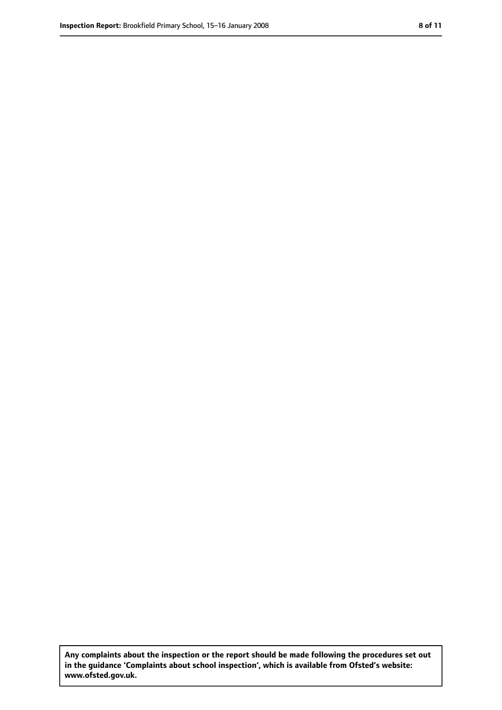**Any complaints about the inspection or the report should be made following the procedures set out in the guidance 'Complaints about school inspection', which is available from Ofsted's website: www.ofsted.gov.uk.**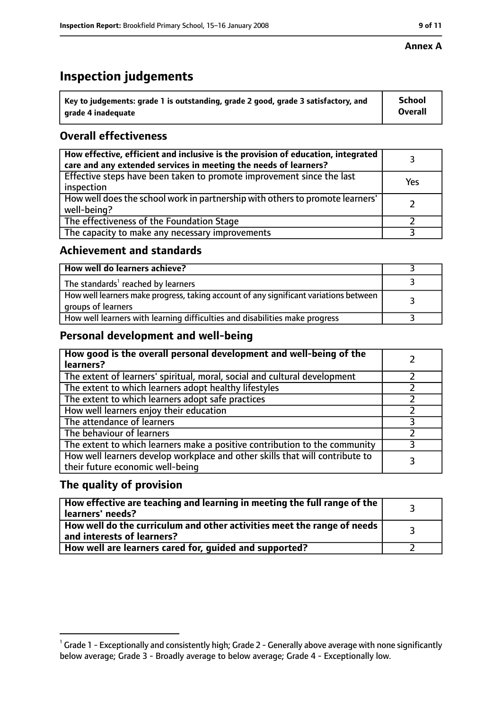#### **Annex A**

# **Inspection judgements**

| $^{\backprime}$ Key to judgements: grade 1 is outstanding, grade 2 good, grade 3 satisfactory, and | <b>School</b>  |
|----------------------------------------------------------------------------------------------------|----------------|
| arade 4 inadequate                                                                                 | <b>Overall</b> |

# **Overall effectiveness**

| How effective, efficient and inclusive is the provision of education, integrated<br>care and any extended services in meeting the needs of learners? |     |
|------------------------------------------------------------------------------------------------------------------------------------------------------|-----|
| Effective steps have been taken to promote improvement since the last<br>inspection                                                                  | Yes |
| How well does the school work in partnership with others to promote learners'<br>well-being?                                                         |     |
| The effectiveness of the Foundation Stage                                                                                                            |     |
| The capacity to make any necessary improvements                                                                                                      |     |

## **Achievement and standards**

| How well do learners achieve?                                                                               |  |
|-------------------------------------------------------------------------------------------------------------|--|
| The standards <sup>1</sup> reached by learners                                                              |  |
| How well learners make progress, taking account of any significant variations between<br>groups of learners |  |
| How well learners with learning difficulties and disabilities make progress                                 |  |

## **Personal development and well-being**

| How good is the overall personal development and well-being of the<br>learners?                                  |  |
|------------------------------------------------------------------------------------------------------------------|--|
| The extent of learners' spiritual, moral, social and cultural development                                        |  |
| The extent to which learners adopt healthy lifestyles                                                            |  |
| The extent to which learners adopt safe practices                                                                |  |
| How well learners enjoy their education                                                                          |  |
| The attendance of learners                                                                                       |  |
| The behaviour of learners                                                                                        |  |
| The extent to which learners make a positive contribution to the community                                       |  |
| How well learners develop workplace and other skills that will contribute to<br>their future economic well-being |  |

## **The quality of provision**

| How effective are teaching and learning in meeting the full range of the<br>learners' needs?          |  |
|-------------------------------------------------------------------------------------------------------|--|
| How well do the curriculum and other activities meet the range of needs<br>and interests of learners? |  |
| How well are learners cared for, guided and supported?                                                |  |

 $^1$  Grade 1 - Exceptionally and consistently high; Grade 2 - Generally above average with none significantly below average; Grade 3 - Broadly average to below average; Grade 4 - Exceptionally low.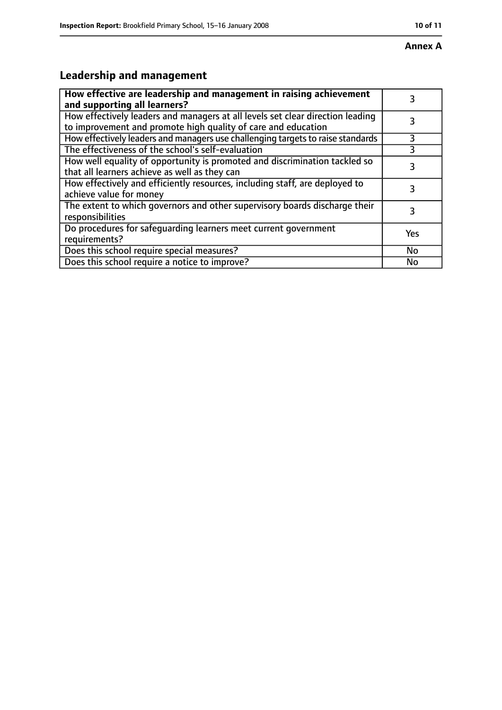# **Leadership and management**

| How effective are leadership and management in raising achievement<br>and supporting all learners?                                              | 3   |
|-------------------------------------------------------------------------------------------------------------------------------------------------|-----|
| How effectively leaders and managers at all levels set clear direction leading<br>to improvement and promote high quality of care and education |     |
| How effectively leaders and managers use challenging targets to raise standards                                                                 | 3   |
| The effectiveness of the school's self-evaluation                                                                                               |     |
| How well equality of opportunity is promoted and discrimination tackled so<br>that all learners achieve as well as they can                     | 3   |
| How effectively and efficiently resources, including staff, are deployed to<br>achieve value for money                                          | 3   |
| The extent to which governors and other supervisory boards discharge their<br>responsibilities                                                  | 3   |
| Do procedures for safequarding learners meet current government<br>requirements?                                                                | Yes |
| Does this school require special measures?                                                                                                      | No  |
| Does this school require a notice to improve?                                                                                                   | No  |